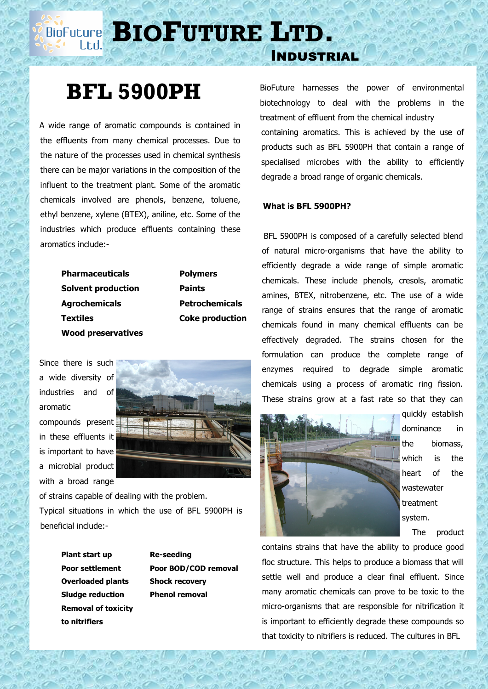**BIOFUTURE** LTD.

## **BFL 5900PH**

 A wide range of aromatic compounds is contained in the effluents from many chemical processes. Due to the nature of the processes used in chemical synthesis there can be major variations in the composition of the influent to the treatment plant. Some of the aromatic chemicals involved are phenols, benzene, toluene, ethyl benzene, xylene (BTEX), aniline, etc. Some of the industries which produce effluents containing these aromatics include:-

| <b>Pharmaceuticals</b>    | <b>Polymers</b>        |
|---------------------------|------------------------|
| <b>Solvent production</b> | <b>Paints</b>          |
| <b>Agrochemicals</b>      | <b>Petrochemicals</b>  |
| <b>Textiles</b>           | <b>Coke production</b> |
| <b>Wood preservatives</b> |                        |

Since there is such a wide diversity of industries and of aromatic compounds present in these effluents it is important to have a microbial product with a broad range



of strains capable of dealing with the problem. Typical situations in which the use of BFL 5900PH is beneficial include:-

> **Plant start up by Re-seeding Overloaded plants Shock recovery Sludge reduction Phenol removal Removal of toxicity to nitrifiers**

**Poor settlement Poor BOD/COD removal**

Industrial

BioFuture harnesses the power of environmental biotechnology to deal with the problems in the treatment of effluent from the chemical industry containing aromatics. This is achieved by the use of products such as BFL 5900PH that contain a range of specialised microbes with the ability to efficiently degrade a broad range of organic chemicals.

## **What is BFL 5900PH?**

 BFL 5900PH is composed of a carefully selected blend of natural micro-organisms that have the ability to efficiently degrade a wide range of simple aromatic chemicals. These include phenols, cresols, aromatic amines, BTEX, nitrobenzene, etc. The use of a wide range of strains ensures that the range of aromatic chemicals found in many chemical effluents can be effectively degraded. The strains chosen for the formulation can produce the complete range of enzymes required to degrade simple aromatic chemicals using a process of aromatic ring fission. These strains grow at a fast rate so that they can



quickly establish dominance in the biomass, which is the heart of the wastewater treatment system.

The product

contains strains that have the ability to produce good floc structure. This helps to produce a biomass that will settle well and produce a clear final effluent. Since many aromatic chemicals can prove to be toxic to the micro-organisms that are responsible for nitrification it is important to efficiently degrade these compounds so that toxicity to nitrifiers is reduced. The cultures in BFL